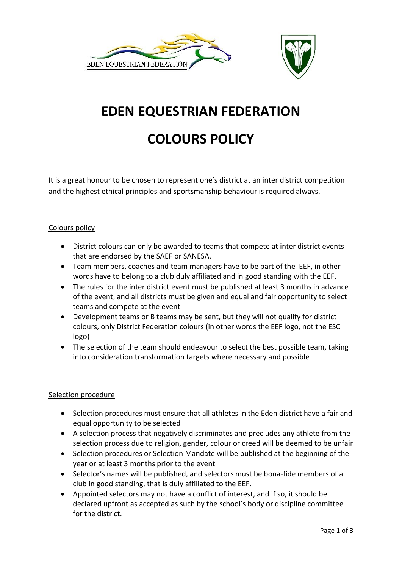



# **EDEN EQUESTRIAN FEDERATION**

## **COLOURS POLICY**

It is a great honour to be chosen to represent one's district at an inter district competition and the highest ethical principles and sportsmanship behaviour is required always.

### Colours policy

- District colours can only be awarded to teams that compete at inter district events that are endorsed by the SAEF or SANESA.
- Team members, coaches and team managers have to be part of the EEF, in other words have to belong to a club duly affiliated and in good standing with the EEF.
- The rules for the inter district event must be published at least 3 months in advance of the event, and all districts must be given and equal and fair opportunity to select teams and compete at the event
- Development teams or B teams may be sent, but they will not qualify for district colours, only District Federation colours (in other words the EEF logo, not the ESC logo)
- The selection of the team should endeavour to select the best possible team, taking into consideration transformation targets where necessary and possible

#### Selection procedure

- Selection procedures must ensure that all athletes in the Eden district have a fair and equal opportunity to be selected
- A selection process that negatively discriminates and precludes any athlete from the selection process due to religion, gender, colour or creed will be deemed to be unfair
- Selection procedures or Selection Mandate will be published at the beginning of the year or at least 3 months prior to the event
- Selector's names will be published, and selectors must be bona-fide members of a club in good standing, that is duly affiliated to the EEF.
- Appointed selectors may not have a conflict of interest, and if so, it should be declared upfront as accepted as such by the school's body or discipline committee for the district.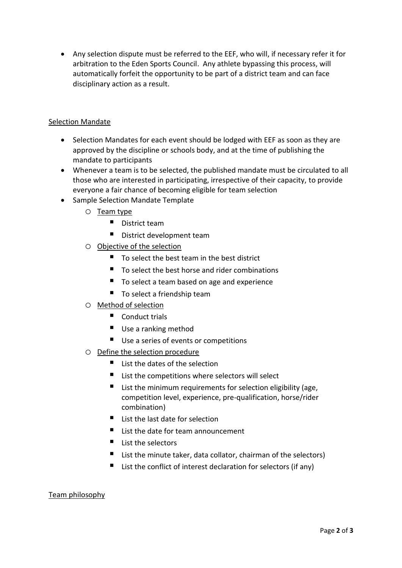• Any selection dispute must be referred to the EEF, who will, if necessary refer it for arbitration to the Eden Sports Council. Any athlete bypassing this process, will automatically forfeit the opportunity to be part of a district team and can face disciplinary action as a result.

#### Selection Mandate

- Selection Mandates for each event should be lodged with EEF as soon as they are approved by the discipline or schools body, and at the time of publishing the mandate to participants
- Whenever a team is to be selected, the published mandate must be circulated to all those who are interested in participating, irrespective of their capacity, to provide everyone a fair chance of becoming eligible for team selection
- Sample Selection Mandate Template
	- o Team type
		- District team
		- District development team
	- o Objective of the selection
		- To select the best team in the best district
		- To select the best horse and rider combinations
		- To select a team based on age and experience
		- $\blacksquare$  To select a friendship team
	- o Method of selection
		- Conduct trials
		- Use a ranking method
		- Use a series of events or competitions
	- o Define the selection procedure
		- $\blacksquare$  List the dates of the selection
		- List the competitions where selectors will select
		- $\blacksquare$  List the minimum requirements for selection eligibility (age, competition level, experience, pre-qualification, horse/rider combination)
		- List the last date for selection
		- List the date for team announcement
		- List the selectors
		- $\blacksquare$  List the minute taker, data collator, chairman of the selectors)
		- List the conflict of interest declaration for selectors (if any)

#### Team philosophy